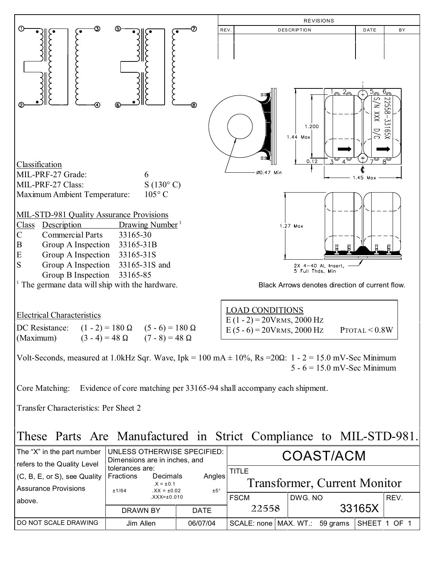

## These Parts Are Manufactured in Strict Compliance to MIL-STD-981.

| The "X" in the part number<br>refers to the Quality Level | UNLESS OTHERWISE SPECIFIED:<br>Dimensions are in inches, and | COAST/ACM |                                     |                                  |  |         |  |              |      |
|-----------------------------------------------------------|--------------------------------------------------------------|-----------|-------------------------------------|----------------------------------|--|---------|--|--------------|------|
| $(C, B, E, or S)$ , see Quality                           | tolerances are:<br>Fractions                                 | Decimals  | Angles                              | <b>TITLE</b>                     |  |         |  |              |      |
| Assurance Provisions                                      | $X = \pm 0.1$<br>±5°<br>$XX = \pm 0.02$<br>±1/64             |           | <b>Transformer, Current Monitor</b> |                                  |  |         |  |              |      |
| above.                                                    | $XXX = \pm 0.010$                                            |           |                                     | <b>FSCM</b>                      |  | DWG. NO |  |              | REV. |
|                                                           | DRAWN BY                                                     |           | <b>DATE</b>                         | 22558                            |  | 33165X  |  |              |      |
| I DO NOT SCALE DRAWING                                    | Jim Allen                                                    |           | 06/07/04                            | SCALE: none   MAX. WT.: 59 grams |  |         |  | SHEET 1 OF 1 |      |